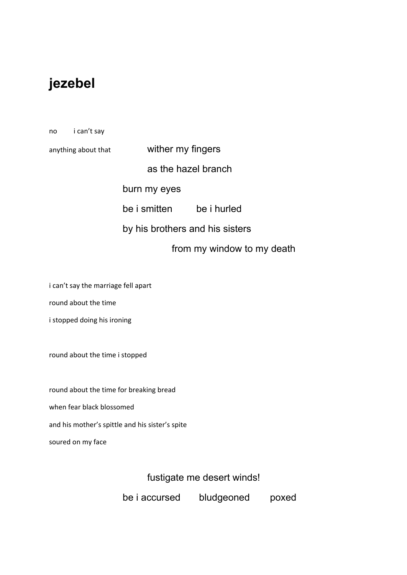# **jezebel**

no i can't say

anything about that **wither my fingers** 

as the hazel branch

burn my eyes

be i smitten be i hurled

by his brothers and his sisters

from my window to my death

i can't say the marriage fell apart

round about the time

i stopped doing his ironing

round about the time i stopped

round about the time for breaking bread when fear black blossomed and his mother's spittle and his sister's spite soured on my face

fustigate me desert winds!

be i accursed bludgeoned poxed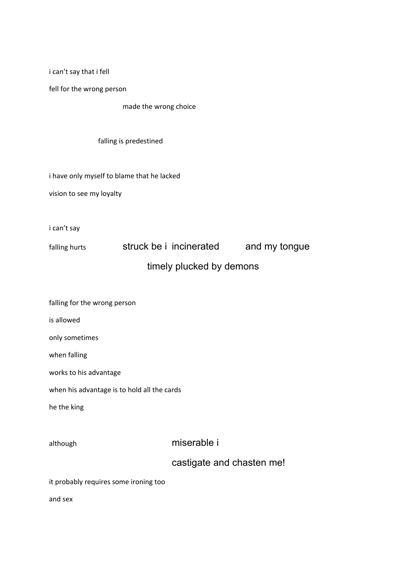i can't say that i fell

fell for the wrong person

made the wrong choice

falling is predestined

i have only myself to blame that he lacked

vision to see my loyalty

i can't say

falling hurts struck be i incinerated and my tongue timely plucked by demons

| falling for the wrong person                |                           |  |  |
|---------------------------------------------|---------------------------|--|--|
| is allowed                                  |                           |  |  |
| only sometimes                              |                           |  |  |
| when falling                                |                           |  |  |
| works to his advantage                      |                           |  |  |
| when his advantage is to hold all the cards |                           |  |  |
| he the king                                 |                           |  |  |
|                                             |                           |  |  |
| although                                    | miserable i               |  |  |
|                                             | castigate and chasten me! |  |  |
| it probably requires some ironing too       |                           |  |  |
| and sex                                     |                           |  |  |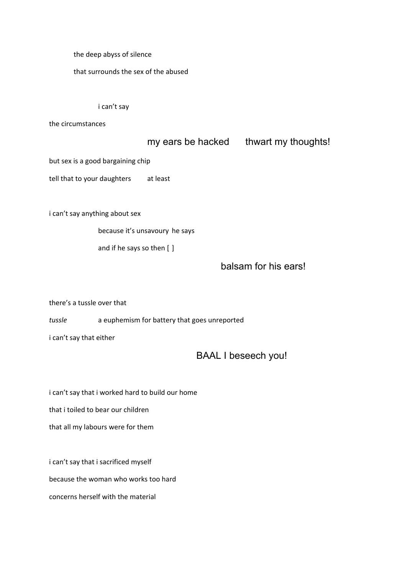the deep abyss of silence

that surrounds the sex of the abused

### i can't say

the circumstances

## my ears be hacked thwart my thoughts!

but sex is a good bargaining chip

tell that to your daughters at least

i can't say anything about sex

because it's unsavoury he says

and if he says so then [ ]

## balsam for his ears!

there's a tussle over that

*tussle* a euphemism for battery that goes unreported

i can't say that either

## BAAL I beseech you!

i can't say that i worked hard to build our home

that i toiled to bear our children

that all my labours were for them

i can't say that i sacrificed myself

because the woman who works too hard

concerns herself with the material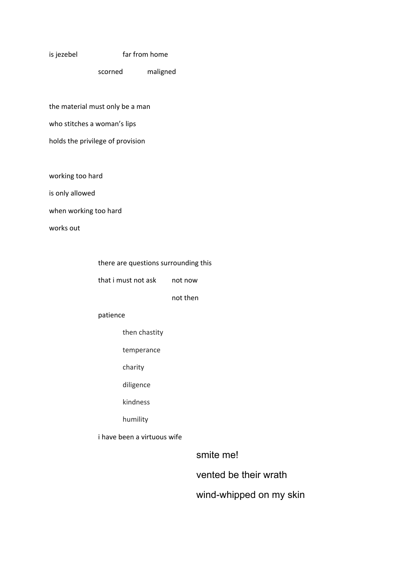#### is jezebel far from home

scorned maligned

the material must only be a man who stitches a woman's lips

- 
- holds the privilege of provision

working too hard

is only allowed

when working too hard

works out

|  |  | there are questions surrounding this |  |
|--|--|--------------------------------------|--|
|--|--|--------------------------------------|--|

that i must not ask not now

not then

#### patience

then chastity

temperance

- charity
- diligence

kindness

humility

i have been a virtuous wife

smite me!

vented be their wrath

wind-whipped on my skin